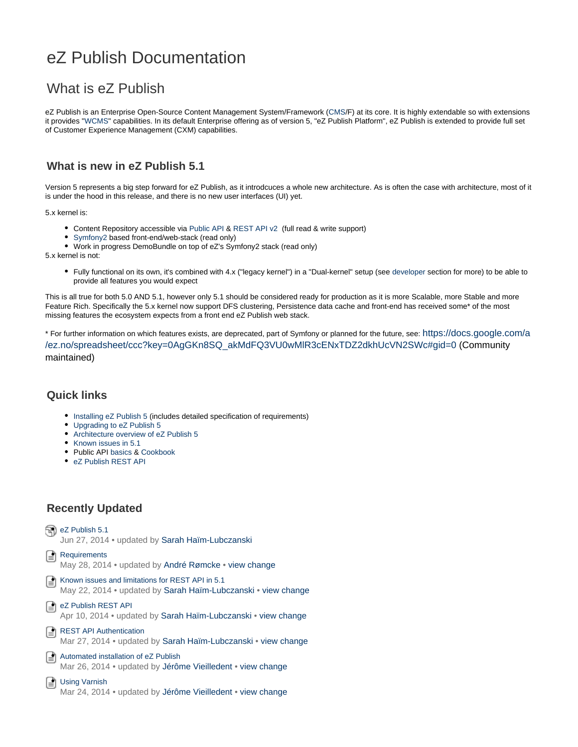# eZ Publish Documentation

# What is eZ Publish

eZ Publish is an Enterprise Open-Source Content Management System/Framework [\(CMS](http://en.wikipedia.org/wiki/CMS)/F) at its core. It is highly extendable so with extensions it provides "[WCMS"](http://en.wikipedia.org/wiki/Web_content_management_system) capabilities. In its default Enterprise offering as of version 5, "eZ Publish Platform", eZ Publish is extended to provide full set of Customer Experience Management (CXM) capabilities.

### **What is new in eZ Publish 5.1**

Version 5 represents a big step forward for eZ Publish, as it introdcuces a whole new architecture. As is often the case with architecture, most of it is under the hood in this release, and there is no new user interfaces (UI) yet.

5.x kernel is:

- Content Repository accessible via [Public API](https://doc.ez.no/display/EZP51/eZ+Publish+Public+API) & [REST API v2](https://doc.ez.no/display/EZP51/eZ+Publish+REST+API) (full read & write support)
- [Symfony2](http://symfony.com/about) based front-end/web-stack (read only)
- Work in progress DemoBundle on top of eZ's Symfony2 stack (read only)

5.x kernel is not:

Fully functional on its own, it's combined with 4.x ("legacy kernel") in a "Dual-kernel" setup (see [developer](https://doc.ez.no/display/EZP51/Developer+Guide) section for more) to be able to provide all features you would expect

This is all true for both 5.0 AND 5.1, however only 5.1 should be considered ready for production as it is more Scalable, more Stable and more Feature Rich. Specifically the 5.x kernel now support DFS clustering, Persistence data cache and front-end has received some\* of the most missing features the ecosystem expects from a front end eZ Publish web stack.

\* For further information on which features exists, are deprecated, part of Symfony or planned for the future, see: [https://docs.google.com/a](https://docs.google.com/a/ez.no/spreadsheet/ccc?key=0AgGKn8SQ_akMdFQ3VU0wMlR3cENxTDZ2dkhUcVN2SWc#gid=0) [/ez.no/spreadsheet/ccc?key=0AgGKn8SQ\\_akMdFQ3VU0wMlR3cENxTDZ2dkhUcVN2SWc#gid=0](https://docs.google.com/a/ez.no/spreadsheet/ccc?key=0AgGKn8SQ_akMdFQ3VU0wMlR3cENxTDZ2dkhUcVN2SWc#gid=0) (Community maintained)

#### **Quick links**

- [Installing eZ Publish 5](https://doc.ez.no/display/EZP51/Installation) (includes detailed specification of requirements)
- [Upgrading to eZ Publish 5](http://doc.ez.no/eZ-Publish/Upgrading/Upgrading-to-5.0/Upgrading-from-4.7-to-5.0)
- [Architecture overview of eZ Publish 5](https://doc.ez.no/pages/viewpage.action?pageId=12125295)
- [Known issues in 5.1](https://doc.ez.no/display/EZP51/Known+issues+in+5.1)
- Public API [basics](https://doc.ez.no/display/EZP51/Public+API+basics) & [Cookbook](https://doc.ez.no/display/EZP51/Public+API+Cookbook)
- [eZ Publish REST API](https://doc.ez.no/display/EZP51/eZ+Publish+REST+API)

## **Recently Updated**

an [eZ Publish 5.1](https://doc.ez.no/display/EZP51) Jun 27, 2014 • updated by [Sarah Haïm-Lubczanski](https://doc.ez.no/display/~sarah.haim-lubczanski-obsolete@ez.no) [Requirements](https://doc.ez.no/display/EZP51/Requirements) May 28, 2014 • updated by [André Rømcke](https://doc.ez.no/display/~andre.romcke@ez.no) • [view change](https://doc.ez.no/pages/diffpagesbyversion.action?pageId=12125268&selectedPageVersions=12&selectedPageVersions=11) [Known issues and limitations for REST API in 5.1](https://doc.ez.no/display/EZP51/Known+issues+and+limitations+for+REST+API+in+5.1) May 22, 2014 • updated by [Sarah Haïm-Lubczanski](https://doc.ez.no/display/~sarah.haim-lubczanski-obsolete@ez.no) • [view change](https://doc.ez.no/pages/diffpagesbyversion.action?pageId=13467959&selectedPageVersions=4&selectedPageVersions=3) [eZ Publish REST API](https://doc.ez.no/display/EZP51/eZ+Publish+REST+API) Apr 10, 2014 • updated by [Sarah Haïm-Lubczanski](https://doc.ez.no/display/~sarah.haim-lubczanski-obsolete@ez.no) • [view change](https://doc.ez.no/pages/diffpagesbyversion.action?pageId=12125319&selectedPageVersions=7&selectedPageVersions=6) [REST API Authentication](https://doc.ez.no/display/EZP51/REST+API+Authentication) Mar 27, 2014 • updated by [Sarah Haïm-Lubczanski](https://doc.ez.no/display/~sarah.haim-lubczanski-obsolete@ez.no) • [view change](https://doc.ez.no/pages/diffpagesbyversion.action?pageId=12125323&selectedPageVersions=14&selectedPageVersions=13) [Automated installation of eZ Publish](https://doc.ez.no/display/EZP51/Automated+installation+of+eZ+Publish) Mar 26, 2014 • updated by [Jérôme Vieilledent](https://doc.ez.no/display/~jerome.vieilledent-obsolete@ez.no) • [view change](https://doc.ez.no/pages/diffpagesbyversion.action?pageId=12125283&selectedPageVersions=7&selectedPageVersions=6) [Using Varnish](https://doc.ez.no/display/EZP51/Using+Varnish)

Mar 24, 2014 • updated by [Jérôme Vieilledent](https://doc.ez.no/display/~jerome.vieilledent-obsolete@ez.no) • [view change](https://doc.ez.no/pages/diffpagesbyversion.action?pageId=12125292&selectedPageVersions=4&selectedPageVersions=3)